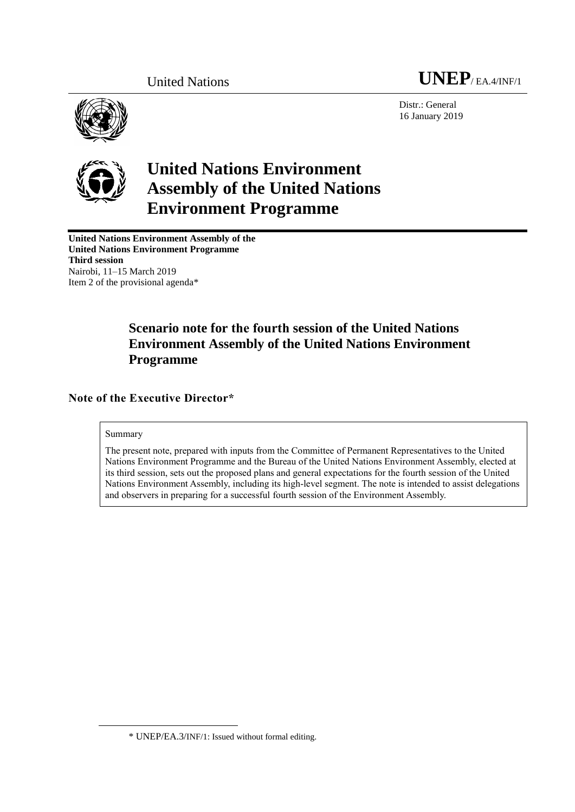

Distr.: General 16 January 2019



# **United Nations Environment Assembly of the United Nations Environment Programme**

**United Nations Environment Assembly of the United Nations Environment Programme Third session** Nairobi, 11–15 March 2019 Item 2 of the provisional agenda\*

## **Scenario note for the fourth session of the United Nations Environment Assembly of the United Nations Environment Programme**

**Note of the Executive Director\***

#### Summary

 $\overline{a}$ 

The present note, prepared with inputs from the Committee of Permanent Representatives to the United Nations Environment Programme and the Bureau of the United Nations Environment Assembly, elected at its third session, sets out the proposed plans and general expectations for the fourth session of the United Nations Environment Assembly, including its high-level segment. The note is intended to assist delegations and observers in preparing for a successful fourth session of the Environment Assembly.

<sup>\*</sup> UNEP/EA.3/INF/1: Issued without formal editing.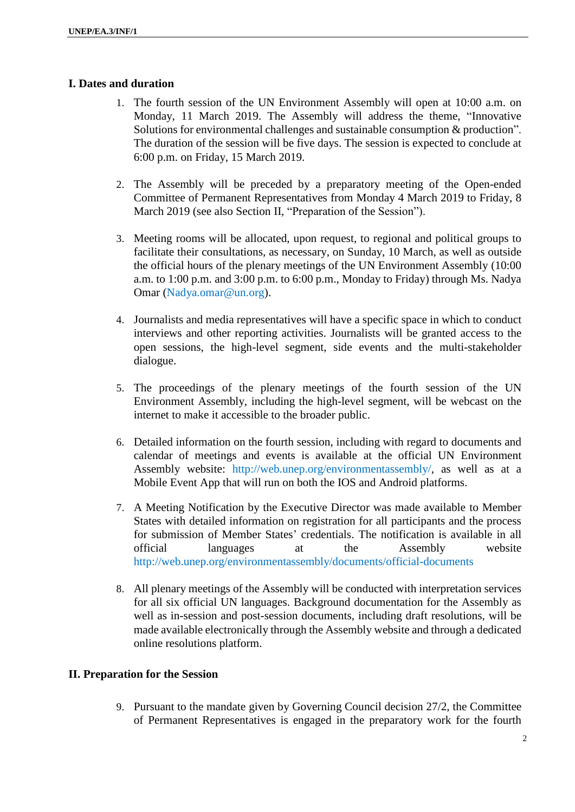## **I. Dates and duration**

- 1. The fourth session of the UN Environment Assembly will open at 10:00 a.m. on Monday, 11 March 2019. The Assembly will address the theme, "Innovative Solutions for environmental challenges and sustainable consumption & production". The duration of the session will be five days. The session is expected to conclude at 6:00 p.m. on Friday, 15 March 2019.
- 2. The Assembly will be preceded by a preparatory meeting of the Open-ended Committee of Permanent Representatives from Monday 4 March 2019 to Friday, 8 March 2019 (see also Section II, "Preparation of the Session").
- 3. Meeting rooms will be allocated, upon request, to regional and political groups to facilitate their consultations, as necessary, on Sunday, 10 March, as well as outside the official hours of the plenary meetings of the UN Environment Assembly (10:00 a.m. to 1:00 p.m. and 3:00 p.m. to 6:00 p.m., Monday to Friday) through Ms. Nadya Omar (Nadya.omar@un.org).
- 4. Journalists and media representatives will have a specific space in which to conduct interviews and other reporting activities. Journalists will be granted access to the open sessions, the high-level segment, side events and the multi-stakeholder dialogue.
- 5. The proceedings of the plenary meetings of the fourth session of the UN Environment Assembly, including the high-level segment, will be webcast on the internet to make it accessible to the broader public.
- 6. Detailed information on the fourth session, including with regard to documents and calendar of meetings and events is available at the official UN Environment Assembly website: [http://web.unep.org/environmentassembly/,](http://www.unep.org/environmentassembly/) as well as at a Mobile Event App that will run on both the IOS and Android platforms.
- 7. A Meeting Notification by the Executive Director was made available to Member States with detailed information on registration for all participants and the process for submission of Member States' credentials. The notification is available in all official languages at the Assembly website http://web.unep.org/environmentassembly/documents/official-documents
- 8. All plenary meetings of the Assembly will be conducted with interpretation services for all six official UN languages. Background documentation for the Assembly as well as in-session and post-session documents, including draft resolutions, will be made available electronically through the Assembly website and through a dedicated online resolutions platform.

## **II. Preparation for the Session**

9. Pursuant to the mandate given by Governing Council decision 27/2, the Committee of Permanent Representatives is engaged in the preparatory work for the fourth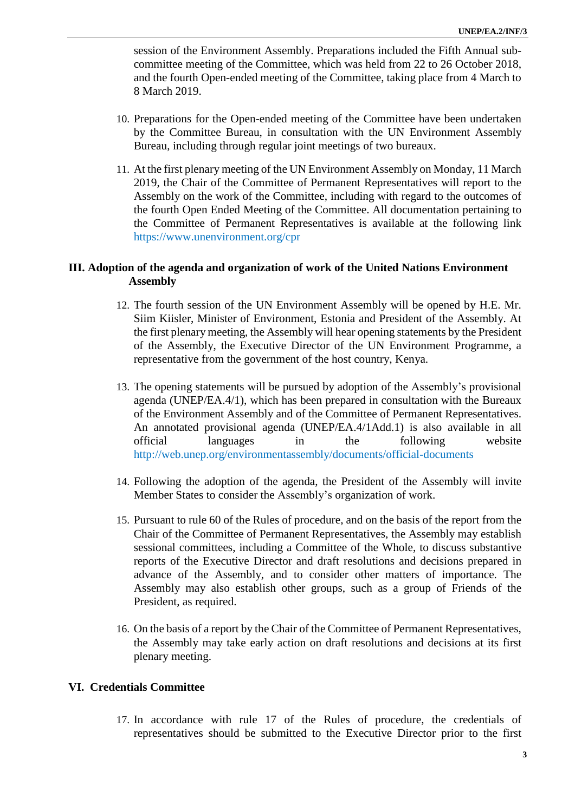session of the Environment Assembly. Preparations included the Fifth Annual subcommittee meeting of the Committee, which was held from 22 to 26 October 2018, and the fourth Open-ended meeting of the Committee, taking place from 4 March to 8 March 2019.

- 10. Preparations for the Open-ended meeting of the Committee have been undertaken by the Committee Bureau, in consultation with the UN Environment Assembly Bureau, including through regular joint meetings of two bureaux.
- 11. At the first plenary meeting of the UN Environment Assembly on Monday, 11 March 2019, the Chair of the Committee of Permanent Representatives will report to the Assembly on the work of the Committee, including with regard to the outcomes of the fourth Open Ended Meeting of the Committee. All documentation pertaining to the Committee of Permanent Representatives is available at the following link <https://www.unenvironment.org/cpr>

## **III. Adoption of the agenda and organization of work of the United Nations Environment Assembly**

- 12. The fourth session of the UN Environment Assembly will be opened by H.E. Mr. Siim Kiisler, Minister of Environment, Estonia and President of the Assembly. At the first plenary meeting, the Assembly will hear opening statements by the President of the Assembly, the Executive Director of the UN Environment Programme, a representative from the government of the host country, Kenya.
- 13. The opening statements will be pursued by adoption of the Assembly's provisional agenda (UNEP/EA.4/1), which has been prepared in consultation with the Bureaux of the Environment Assembly and of the Committee of Permanent Representatives. An annotated provisional agenda (UNEP/EA.4/1Add.1) is also available in all official languages in the following website <http://web.unep.org/environmentassembly/documents/official-documents>
- 14. Following the adoption of the agenda, the President of the Assembly will invite Member States to consider the Assembly's organization of work.
- 15. Pursuant to rule 60 of the Rules of procedure, and on the basis of the report from the Chair of the Committee of Permanent Representatives, the Assembly may establish sessional committees, including a Committee of the Whole, to discuss substantive reports of the Executive Director and draft resolutions and decisions prepared in advance of the Assembly, and to consider other matters of importance. The Assembly may also establish other groups, such as a group of Friends of the President, as required.
- 16. On the basis of a report by the Chair of the Committee of Permanent Representatives, the Assembly may take early action on draft resolutions and decisions at its first plenary meeting.

## **VI. Credentials Committee**

17. In accordance with rule 17 of the Rules of procedure, the credentials of representatives should be submitted to the Executive Director prior to the first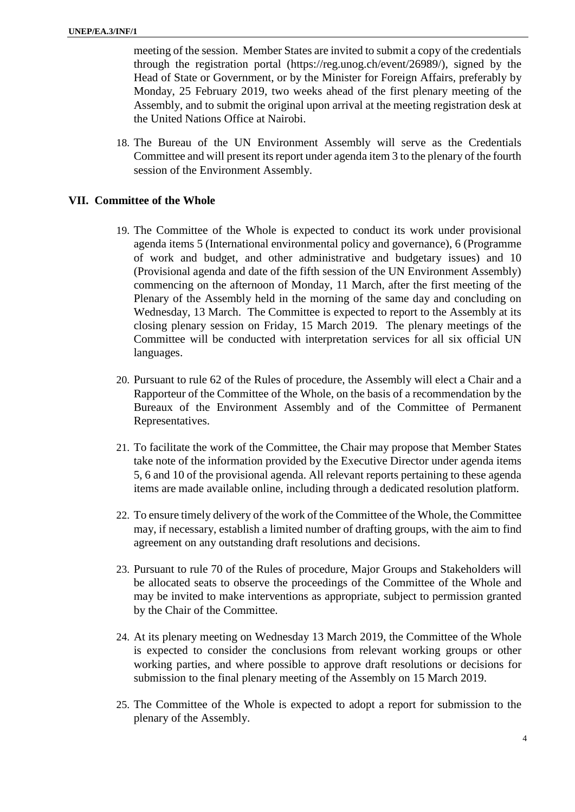meeting of the session. Member States are invited to submit a copy of the credentials through the registration portal (https://reg.unog.ch/event/26989/), signed by the Head of State or Government, or by the Minister for Foreign Affairs, preferably by Monday, 25 February 2019, two weeks ahead of the first plenary meeting of the Assembly, and to submit the original upon arrival at the meeting registration desk at the United Nations Office at Nairobi.

18. The Bureau of the UN Environment Assembly will serve as the Credentials Committee and will present itsreport under agenda item 3 to the plenary of the fourth session of the Environment Assembly.

## **VII. Committee of the Whole**

- 19. The Committee of the Whole is expected to conduct its work under provisional agenda items 5 (International environmental policy and governance), 6 (Programme of work and budget, and other administrative and budgetary issues) and 10 (Provisional agenda and date of the fifth session of the UN Environment Assembly) commencing on the afternoon of Monday, 11 March, after the first meeting of the Plenary of the Assembly held in the morning of the same day and concluding on Wednesday, 13 March. The Committee is expected to report to the Assembly at its closing plenary session on Friday, 15 March 2019. The plenary meetings of the Committee will be conducted with interpretation services for all six official UN languages.
- 20. Pursuant to rule 62 of the Rules of procedure, the Assembly will elect a Chair and a Rapporteur of the Committee of the Whole, on the basis of a recommendation by the Bureaux of the Environment Assembly and of the Committee of Permanent Representatives.
- 21. To facilitate the work of the Committee, the Chair may propose that Member States take note of the information provided by the Executive Director under agenda items 5, 6 and 10 of the provisional agenda. All relevant reports pertaining to these agenda items are made available online, including through a dedicated resolution platform.
- 22. To ensure timely delivery of the work of the Committee of the Whole, the Committee may, if necessary, establish a limited number of drafting groups, with the aim to find agreement on any outstanding draft resolutions and decisions.
- 23. Pursuant to rule 70 of the Rules of procedure, Major Groups and Stakeholders will be allocated seats to observe the proceedings of the Committee of the Whole and may be invited to make interventions as appropriate, subject to permission granted by the Chair of the Committee.
- 24. At its plenary meeting on Wednesday 13 March 2019, the Committee of the Whole is expected to consider the conclusions from relevant working groups or other working parties, and where possible to approve draft resolutions or decisions for submission to the final plenary meeting of the Assembly on 15 March 2019.
- 25. The Committee of the Whole is expected to adopt a report for submission to the plenary of the Assembly.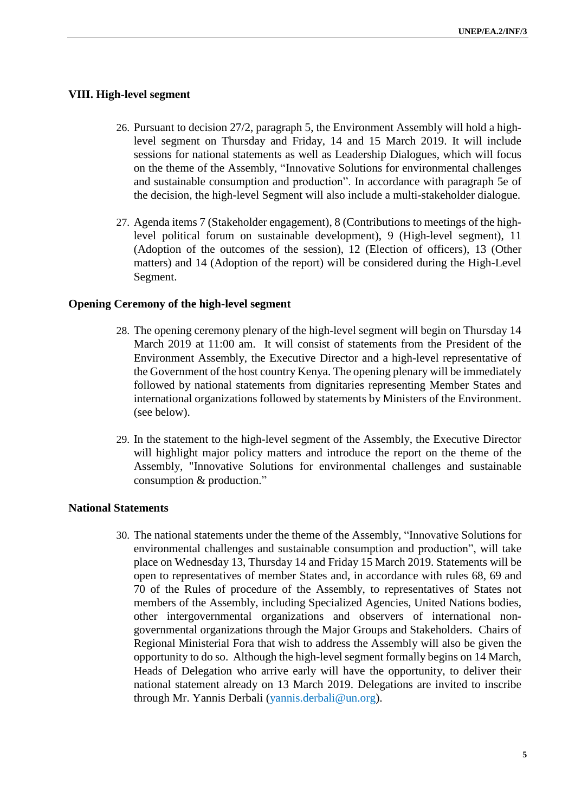#### **VIII. High-level segment**

- 26. Pursuant to decision 27/2, paragraph 5, the Environment Assembly will hold a highlevel segment on Thursday and Friday, 14 and 15 March 2019. It will include sessions for national statements as well as Leadership Dialogues, which will focus on the theme of the Assembly, "Innovative Solutions for environmental challenges and sustainable consumption and production". In accordance with paragraph 5e of the decision, the high-level Segment will also include a multi-stakeholder dialogue.
- 27. Agenda items 7 (Stakeholder engagement), 8 (Contributions to meetings of the highlevel political forum on sustainable development), 9 (High-level segment), 11 (Adoption of the outcomes of the session), 12 (Election of officers), 13 (Other matters) and 14 (Adoption of the report) will be considered during the High-Level Segment.

#### **Opening Ceremony of the high-level segment**

- 28. The opening ceremony plenary of the high-level segment will begin on Thursday 14 March 2019 at 11:00 am. It will consist of statements from the President of the Environment Assembly, the Executive Director and a high-level representative of the Government of the host country Kenya. The opening plenary will be immediately followed by national statements from dignitaries representing Member States and international organizations followed by statements by Ministers of the Environment. (see below).
- 29. In the statement to the high-level segment of the Assembly, the Executive Director will highlight major policy matters and introduce the report on the theme of the Assembly, "Innovative Solutions for environmental challenges and sustainable consumption & production."

#### **National Statements**

30. The national statements under the theme of the Assembly, "Innovative Solutions for environmental challenges and sustainable consumption and production", will take place on Wednesday 13, Thursday 14 and Friday 15 March 2019. Statements will be open to representatives of member States and, in accordance with rules 68, 69 and 70 of the Rules of procedure of the Assembly, to representatives of States not members of the Assembly, including Specialized Agencies, United Nations bodies, other intergovernmental organizations and observers of international nongovernmental organizations through the Major Groups and Stakeholders. Chairs of Regional Ministerial Fora that wish to address the Assembly will also be given the opportunity to do so. Although the high-level segment formally begins on 14 March, Heads of Delegation who arrive early will have the opportunity, to deliver their national statement already on 13 March 2019. Delegations are invited to inscribe through Mr. Yannis Derbali [\(yannis.derbali@un.org\)](mailto:yannis.derbali@un.org).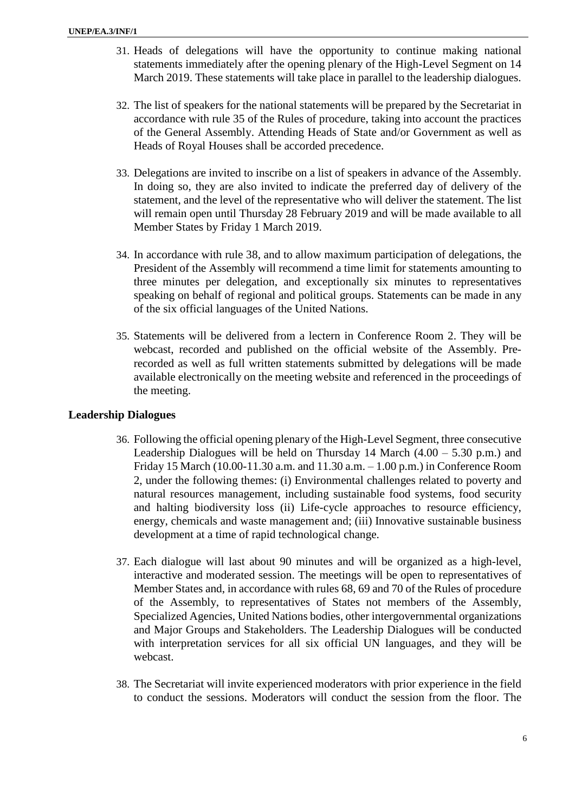- 31. Heads of delegations will have the opportunity to continue making national statements immediately after the opening plenary of the High-Level Segment on 14 March 2019. These statements will take place in parallel to the leadership dialogues.
- 32. The list of speakers for the national statements will be prepared by the Secretariat in accordance with rule 35 of the Rules of procedure, taking into account the practices of the General Assembly. Attending Heads of State and/or Government as well as Heads of Royal Houses shall be accorded precedence.
- 33. Delegations are invited to inscribe on a list of speakers in advance of the Assembly. In doing so, they are also invited to indicate the preferred day of delivery of the statement, and the level of the representative who will deliver the statement. The list will remain open until Thursday 28 February 2019 and will be made available to all Member States by Friday 1 March 2019.
- 34. In accordance with rule 38, and to allow maximum participation of delegations, the President of the Assembly will recommend a time limit for statements amounting to three minutes per delegation, and exceptionally six minutes to representatives speaking on behalf of regional and political groups. Statements can be made in any of the six official languages of the United Nations.
- 35. Statements will be delivered from a lectern in Conference Room 2. They will be webcast, recorded and published on the official website of the Assembly. Prerecorded as well as full written statements submitted by delegations will be made available electronically on the meeting website and referenced in the proceedings of the meeting.

## **Leadership Dialogues**

- 36. Following the official opening plenary of the High-Level Segment, three consecutive Leadership Dialogues will be held on Thursday 14 March  $(4.00 - 5.30)$  p.m.) and Friday 15 March (10.00-11.30 a.m. and 11.30 a.m. – 1.00 p.m.) in Conference Room 2, under the following themes: (i) Environmental challenges related to poverty and natural resources management, including sustainable food systems, food security and halting biodiversity loss (ii) Life-cycle approaches to resource efficiency, energy, chemicals and waste management and; (iii) Innovative sustainable business development at a time of rapid technological change.
- 37. Each dialogue will last about 90 minutes and will be organized as a high-level, interactive and moderated session. The meetings will be open to representatives of Member States and, in accordance with rules 68, 69 and 70 of the Rules of procedure of the Assembly, to representatives of States not members of the Assembly, Specialized Agencies, United Nations bodies, other intergovernmental organizations and Major Groups and Stakeholders. The Leadership Dialogues will be conducted with interpretation services for all six official UN languages, and they will be webcast.
- 38. The Secretariat will invite experienced moderators with prior experience in the field to conduct the sessions. Moderators will conduct the session from the floor. The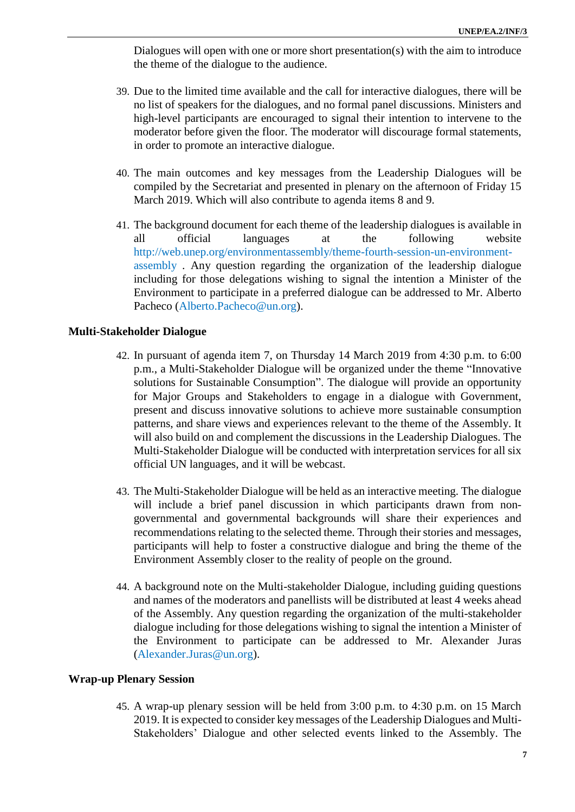Dialogues will open with one or more short presentation(s) with the aim to introduce the theme of the dialogue to the audience.

- 39. Due to the limited time available and the call for interactive dialogues, there will be no list of speakers for the dialogues, and no formal panel discussions. Ministers and high-level participants are encouraged to signal their intention to intervene to the moderator before given the floor. The moderator will discourage formal statements, in order to promote an interactive dialogue.
- 40. The main outcomes and key messages from the Leadership Dialogues will be compiled by the Secretariat and presented in plenary on the afternoon of Friday 15 March 2019. Which will also contribute to agenda items 8 and 9.
- 41. The background document for each theme of the leadership dialogues is available in all official languages at the following website [http://web.unep.org/environmentassembly/theme-fourth-session-un-environment](http://web.unep.org/environmentassembly/theme-fourth-session-un-environment-assembly)[assembly](http://web.unep.org/environmentassembly/theme-fourth-session-un-environment-assembly) . Any question regarding the organization of the leadership dialogue including for those delegations wishing to signal the intention a Minister of the Environment to participate in a preferred dialogue can be addressed to Mr. Alberto Pacheco [\(Alberto.Pacheco@un.org\)](mailto:Alberto.Pacheco@un.org).

#### **Multi-Stakeholder Dialogue**

- 42. In pursuant of agenda item 7, on Thursday 14 March 2019 from 4:30 p.m. to 6:00 p.m., a Multi-Stakeholder Dialogue will be organized under the theme "Innovative solutions for Sustainable Consumption". The dialogue will provide an opportunity for Major Groups and Stakeholders to engage in a dialogue with Government, present and discuss innovative solutions to achieve more sustainable consumption patterns, and share views and experiences relevant to the theme of the Assembly. It will also build on and complement the discussions in the Leadership Dialogues. The Multi-Stakeholder Dialogue will be conducted with interpretation services for all six official UN languages, and it will be webcast.
- 43. The Multi-Stakeholder Dialogue will be held as an interactive meeting. The dialogue will include a brief panel discussion in which participants drawn from nongovernmental and governmental backgrounds will share their experiences and recommendations relating to the selected theme. Through their stories and messages, participants will help to foster a constructive dialogue and bring the theme of the Environment Assembly closer to the reality of people on the ground.
- 44. A background note on the Multi-stakeholder Dialogue, including guiding questions and names of the moderators and panellists will be distributed at least 4 weeks ahead of the Assembly. Any question regarding the organization of the multi-stakeholder dialogue including for those delegations wishing to signal the intention a Minister of the Environment to participate can be addressed to Mr. Alexander Juras [\(Alexander.Juras@un.org\)](mailto:Alexander.Juras@un.org).

#### **Wrap-up Plenary Session**

45. A wrap-up plenary session will be held from 3:00 p.m. to 4:30 p.m. on 15 March 2019. It is expected to consider key messages of the Leadership Dialogues and Multi-Stakeholders' Dialogue and other selected events linked to the Assembly. The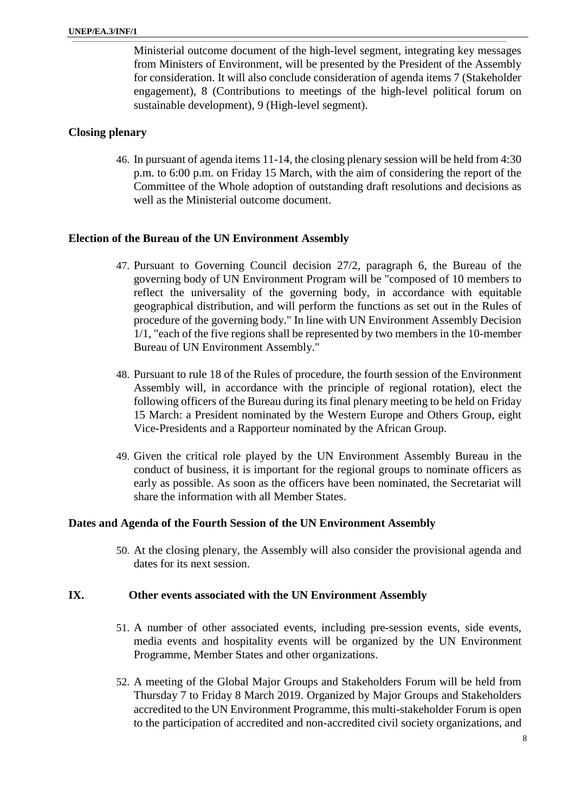Ministerial outcome document of the high-level segment, integrating key messages from Ministers of Environment, will be presented by the President of the Assembly for consideration. It will also conclude consideration of agenda items 7 (Stakeholder engagement), 8 (Contributions to meetings of the high-level political forum on sustainable development), 9 (High-level segment).

## **Closing plenary**

46. In pursuant of agenda items 11-14, the closing plenary session will be held from 4:30 p.m. to 6:00 p.m. on Friday 15 March, with the aim of considering the report of the Committee of the Whole adoption of outstanding draft resolutions and decisions as well as the Ministerial outcome document.

#### **Election of the Bureau of the UN Environment Assembly**

- 47. Pursuant to Governing Council decision 27/2, paragraph 6, the Bureau of the governing body of UN Environment Program will be "composed of 10 members to reflect the universality of the governing body, in accordance with equitable geographical distribution, and will perform the functions as set out in the Rules of procedure of the governing body." In line with UN Environment Assembly Decision 1/1, "each of the five regions shall be represented by two members in the 10-member Bureau of UN Environment Assembly."
- 48. Pursuant to rule 18 of the Rules of procedure, the fourth session of the Environment Assembly will, in accordance with the principle of regional rotation), elect the following officers of the Bureau during its final plenary meeting to be held on Friday 15 March: a President nominated by the Western Europe and Others Group, eight Vice-Presidents and a Rapporteur nominated by the African Group.
- 49. Given the critical role played by the UN Environment Assembly Bureau in the conduct of business, it is important for the regional groups to nominate officers as early as possible. As soon as the officers have been nominated, the Secretariat will share the information with all Member States.

#### **Dates and Agenda of the Fourth Session of the UN Environment Assembly**

50. At the closing plenary, the Assembly will also consider the provisional agenda and dates for its next session.

#### **IX. Other events associated with the UN Environment Assembly**

- 51. A number of other associated events, including pre-session events, side events, media events and hospitality events will be organized by the UN Environment Programme, Member States and other organizations.
- 52. A meeting of the Global Major Groups and Stakeholders Forum will be held from Thursday 7 to Friday 8 March 2019. Organized by Major Groups and Stakeholders accredited to the UN Environment Programme, this multi-stakeholder Forum is open to the participation of accredited and non-accredited civil society organizations, and